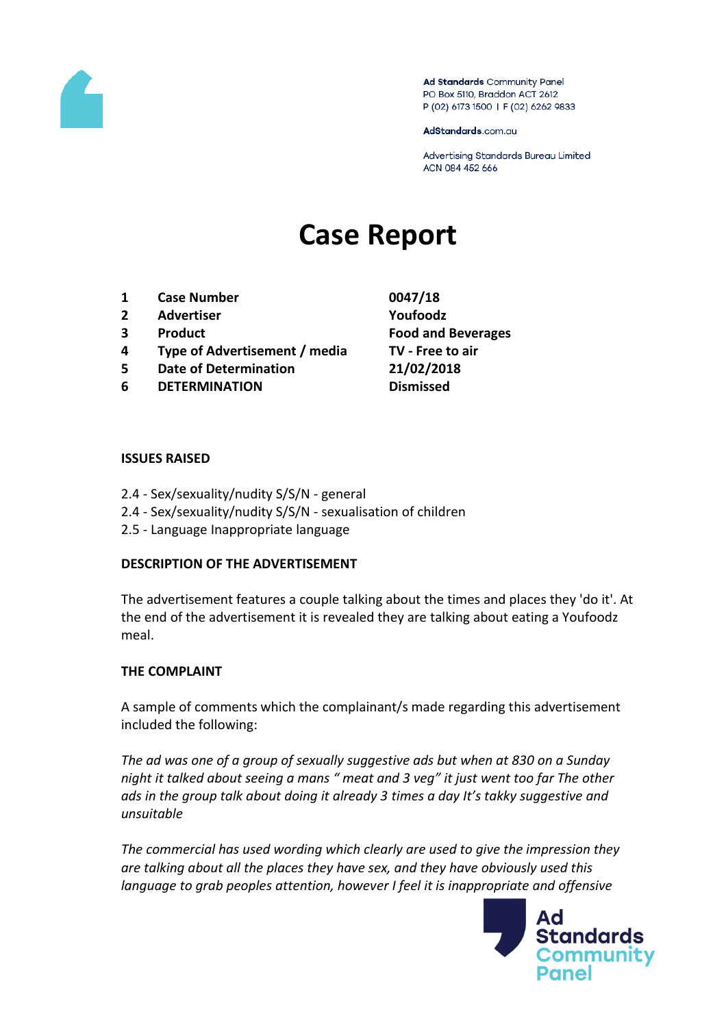

Ad Standards Community Panel PO Box 5110, Braddon ACT 2612 P (02) 6173 1500 | F (02) 6262 9833

AdStandards.com.au

Advertising Standards Bureau Limited ACN 084 452 666

# **Case Report**

- **1 Case Number 0047/18**
- **2 Advertiser Youfoodz**
- 
- **4 Type of Advertisement / media TV - Free to air**
- **5 Date of Determination 21/02/2018**
- **6 DETERMINATION Dismissed**
- **3 Product Food and Beverages**

#### **ISSUES RAISED**

- 2.4 Sex/sexuality/nudity S/S/N general
- 2.4 Sex/sexuality/nudity S/S/N sexualisation of children
- 2.5 Language Inappropriate language

### **DESCRIPTION OF THE ADVERTISEMENT**

The advertisement features a couple talking about the times and places they 'do it'. At the end of the advertisement it is revealed they are talking about eating a Youfoodz meal.

### **THE COMPLAINT**

A sample of comments which the complainant/s made regarding this advertisement included the following:

*The ad was one of a group of sexually suggestive ads but when at 830 on a Sunday night it talked about seeing a mans " meat and 3 veg" it just went too far The other ads in the group talk about doing it already 3 times a day It's takky suggestive and unsuitable*

*The commercial has used wording which clearly are used to give the impression they are talking about all the places they have sex, and they have obviously used this language to grab peoples attention, however I feel it is inappropriate and offensive* 

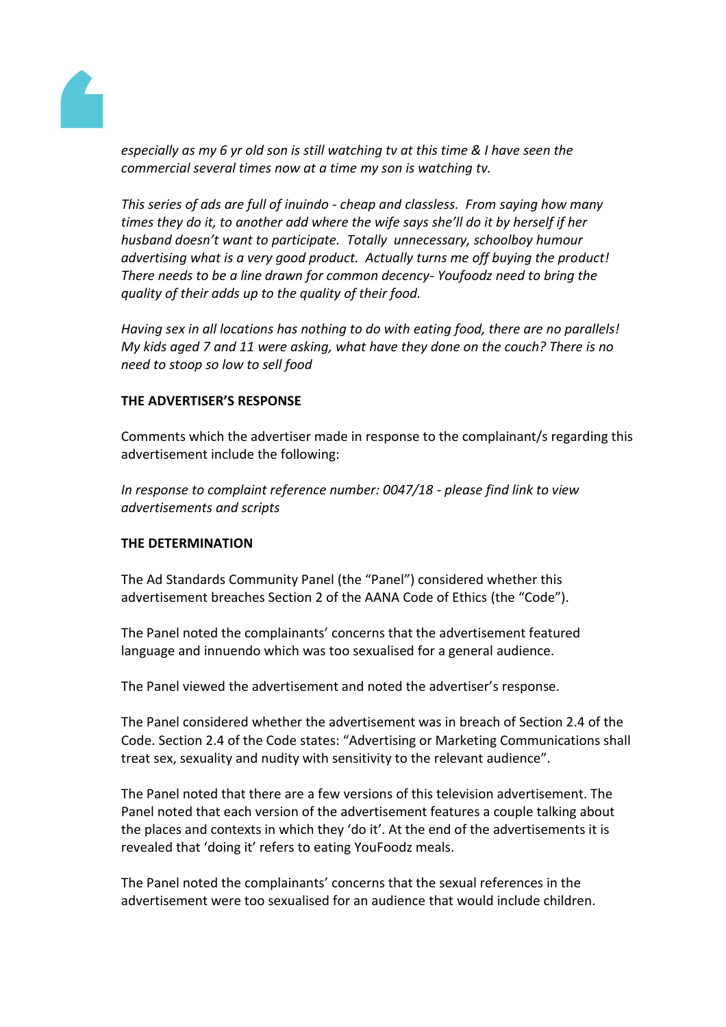

*especially as my 6 yr old son is still watching tv at this time & I have seen the commercial several times now at a time my son is watching tv.*

*This series of ads are full of inuindo - cheap and classless. From saying how many times they do it, to another add where the wife says she'll do it by herself if her husband doesn't want to participate. Totally unnecessary, schoolboy humour advertising what is a very good product. Actually turns me off buying the product! There needs to be a line drawn for common decency- Youfoodz need to bring the quality of their adds up to the quality of their food.*

*Having sex in all locations has nothing to do with eating food, there are no parallels! My kids aged 7 and 11 were asking, what have they done on the couch? There is no need to stoop so low to sell food*

## **THE ADVERTISER'S RESPONSE**

Comments which the advertiser made in response to the complainant/s regarding this advertisement include the following:

*In response to complaint reference number: 0047/18 - please find link to view advertisements and scripts* 

### **THE DETERMINATION**

The Ad Standards Community Panel (the "Panel") considered whether this advertisement breaches Section 2 of the AANA Code of Ethics (the "Code").

The Panel noted the complainants' concerns that the advertisement featured language and innuendo which was too sexualised for a general audience.

The Panel viewed the advertisement and noted the advertiser's response.

The Panel considered whether the advertisement was in breach of Section 2.4 of the Code. Section 2.4 of the Code states: "Advertising or Marketing Communications shall treat sex, sexuality and nudity with sensitivity to the relevant audience".

The Panel noted that there are a few versions of this television advertisement. The Panel noted that each version of the advertisement features a couple talking about the places and contexts in which they 'do it'. At the end of the advertisements it is revealed that 'doing it' refers to eating YouFoodz meals.

The Panel noted the complainants' concerns that the sexual references in the advertisement were too sexualised for an audience that would include children.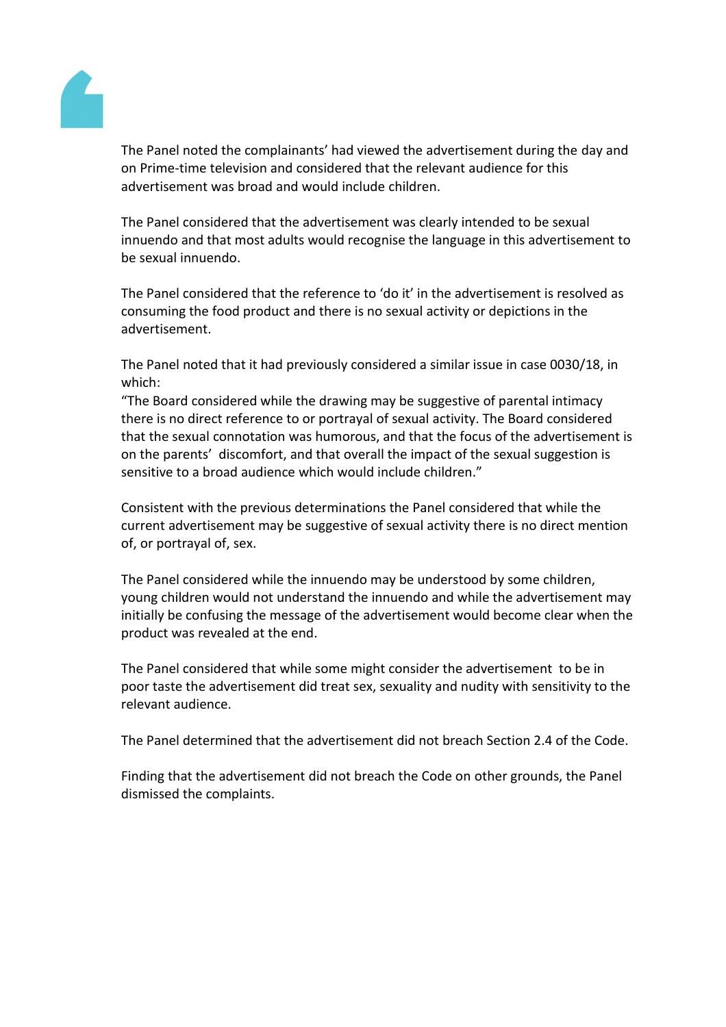

The Panel noted the complainants' had viewed the advertisement during the day and on Prime-time television and considered that the relevant audience for this advertisement was broad and would include children.

The Panel considered that the advertisement was clearly intended to be sexual innuendo and that most adults would recognise the language in this advertisement to be sexual innuendo.

The Panel considered that the reference to 'do it' in the advertisement is resolved as consuming the food product and there is no sexual activity or depictions in the advertisement.

The Panel noted that it had previously considered a similar issue in case 0030/18, in which:

"The Board considered while the drawing may be suggestive of parental intimacy there is no direct reference to or portrayal of sexual activity. The Board considered that the sexual connotation was humorous, and that the focus of the advertisement is on the parents' discomfort, and that overall the impact of the sexual suggestion is sensitive to a broad audience which would include children."

Consistent with the previous determinations the Panel considered that while the current advertisement may be suggestive of sexual activity there is no direct mention of, or portrayal of, sex.

The Panel considered while the innuendo may be understood by some children, young children would not understand the innuendo and while the advertisement may initially be confusing the message of the advertisement would become clear when the product was revealed at the end.

The Panel considered that while some might consider the advertisement to be in poor taste the advertisement did treat sex, sexuality and nudity with sensitivity to the relevant audience.

The Panel determined that the advertisement did not breach Section 2.4 of the Code.

Finding that the advertisement did not breach the Code on other grounds, the Panel dismissed the complaints.